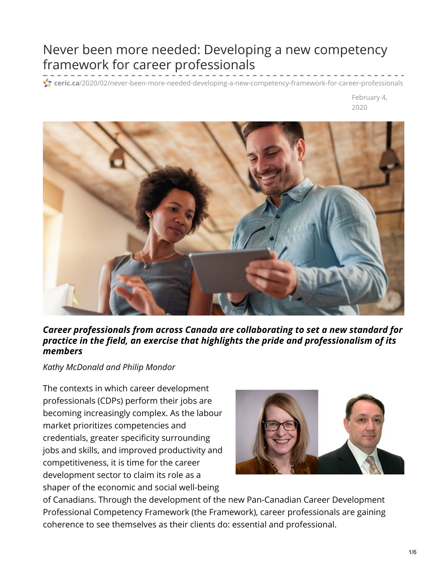# Never been more needed: Developing a new competency framework for career professionals

**ceric.ca**[/2020/02/never-been-more-needed-developing-a-new-competency-framework-for-career-professionals](https://ceric.ca/2020/02/never-been-more-needed-developing-a-new-competency-framework-for-career-professionals/)

February 4, 2020



*Career professionals from across Canada are collaborating to set a new standard for practice in the field, an exercise that highlights the pride and professionalism of its members*

*Kathy McDonald and Philip Mondor*

The contexts in which career development professionals (CDPs) perform their jobs are becoming increasingly complex. As the labour market prioritizes competencies and credentials, greater specificity surrounding jobs and skills, and improved productivity and competitiveness, it is time for the career development sector to claim its role as a shaper of the economic and social well-being



of Canadians. Through the development of the new Pan-Canadian Career Development Professional Competency Framework (the Framework), career professionals are gaining coherence to see themselves as their clients do: essential and professional.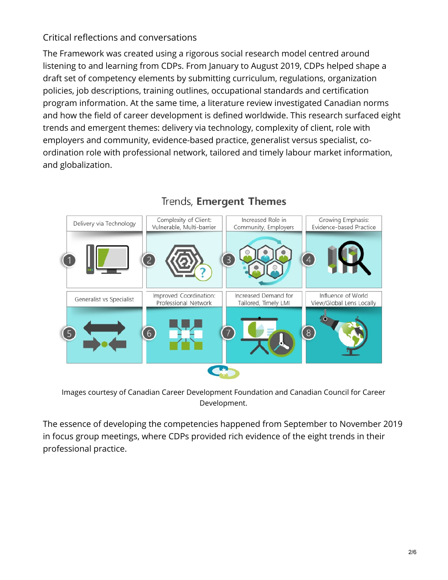## Critical reflections and conversations

The Framework was created using a rigorous social research model centred around listening to and learning from CDPs. From January to August 2019, CDPs helped shape a draft set of competency elements by submitting curriculum, regulations, organization policies, job descriptions, training outlines, occupational standards and certification program information. At the same time, a literature review investigated Canadian norms and how the field of career development is defined worldwide. This research surfaced eight trends and emergent themes: delivery via technology, complexity of client, role with employers and community, evidence-based practice, generalist versus specialist, coordination role with professional network, tailored and timely labour market information, and globalization.



# Trends, Emergent Themes

Images courtesy of Canadian Career Development Foundation and Canadian Council for Career Development.

The essence of developing the competencies happened from September to November 2019 in focus group meetings, where CDPs provided rich evidence of the eight trends in their professional practice.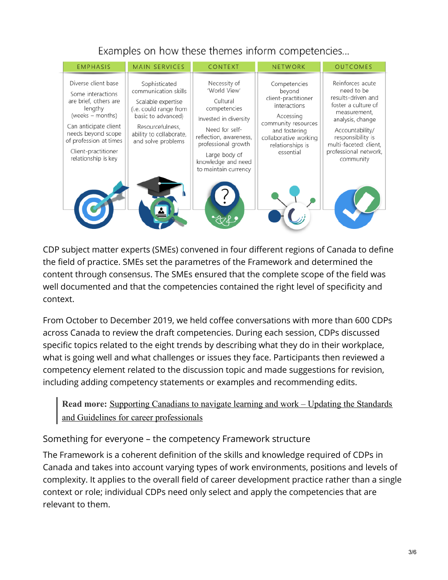Examples on how these themes inform competencies...



CDP subject matter experts (SMEs) convened in four different regions of Canada to define the field of practice. SMEs set the parametres of the Framework and determined the content through consensus. The SMEs ensured that the complete scope of the field was well documented and that the competencies contained the right level of specificity and context.

From October to December 2019, we held coffee conversations with more than 600 CDPs across Canada to review the draft competencies. During each session, CDPs discussed specific topics related to the eight trends by describing what they do in their workplace, what is going well and what challenges or issues they face. Participants then reviewed a competency element related to the discussion topic and made suggestions for revision, including adding competency statements or examples and recommending edits.

**Read more:** Supporting Canadians to navigate learning and work – Updating the Standards and Guidelines for career [professionals](https://ceric.ca/2019/10/supporting-canadians-to-navigate-learning-and-work-updating-the-standards-and-guidelines-for-career-professionals/)

### Something for everyone – the competency Framework structure

The Framework is a coherent definition of the skills and knowledge required of CDPs in Canada and takes into account varying types of work environments, positions and levels of complexity. It applies to the overall field of career development practice rather than a single context or role; individual CDPs need only select and apply the competencies that are relevant to them.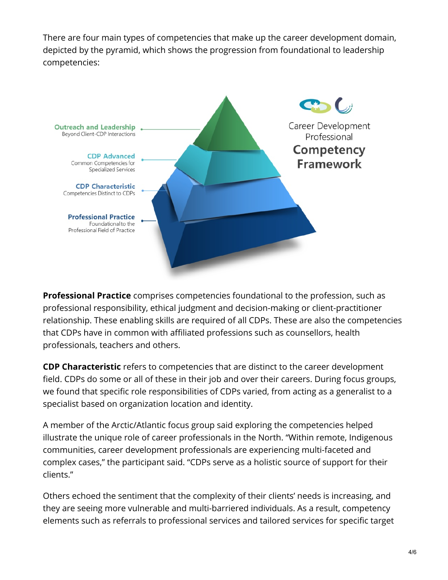There are four main types of competencies that make up the career development domain, depicted by the pyramid, which shows the progression from foundational to leadership competencies:



**Professional Practice** comprises competencies foundational to the profession, such as professional responsibility, ethical judgment and decision-making or client-practitioner relationship. These enabling skills are required of all CDPs. These are also the competencies that CDPs have in common with affiliated professions such as counsellors, health professionals, teachers and others.

**CDP Characteristic** refers to competencies that are distinct to the career development field. CDPs do some or all of these in their job and over their careers. During focus groups, we found that specific role responsibilities of CDPs varied, from acting as a generalist to a specialist based on organization location and identity.

A member of the Arctic/Atlantic focus group said exploring the competencies helped illustrate the unique role of career professionals in the North. "Within remote, Indigenous communities, career development professionals are experiencing multi-faceted and complex cases," the participant said. "CDPs serve as a holistic source of support for their clients."

Others echoed the sentiment that the complexity of their clients' needs is increasing, and they are seeing more vulnerable and multi-barriered individuals. As a result, competency elements such as referrals to professional services and tailored services for specific target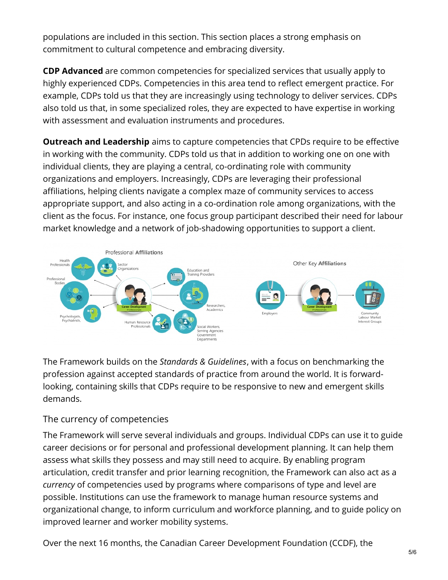populations are included in this section. This section places a strong emphasis on commitment to cultural competence and embracing diversity.

**CDP Advanced** are common competencies for specialized services that usually apply to highly experienced CDPs. Competencies in this area tend to reflect emergent practice. For example, CDPs told us that they are increasingly using technology to deliver services. CDPs also told us that, in some specialized roles, they are expected to have expertise in working with assessment and evaluation instruments and procedures.

**Outreach and Leadership** aims to capture competencies that CPDs require to be effective in working with the community. CDPs told us that in addition to working one on one with individual clients, they are playing a central, co-ordinating role with community organizations and employers. Increasingly, CDPs are leveraging their professional affiliations, helping clients navigate a complex maze of community services to access appropriate support, and also acting in a co-ordination role among organizations, with the client as the focus. For instance, one focus group participant described their need for labour market knowledge and a network of job-shadowing opportunities to support a client.



The Framework builds on the *Standards & Guidelines*, with a focus on benchmarking the profession against accepted standards of practice from around the world. It is forwardlooking, containing skills that CDPs require to be responsive to new and emergent skills demands.

#### The currency of competencies

The Framework will serve several individuals and groups. Individual CDPs can use it to guide career decisions or for personal and professional development planning. It can help them assess what skills they possess and may still need to acquire. By enabling program articulation, credit transfer and prior learning recognition, the Framework can also act as a *currency* of competencies used by programs where comparisons of type and level are possible. Institutions can use the framework to manage human resource systems and organizational change, to inform curriculum and workforce planning, and to guide policy on improved learner and worker mobility systems.

Over the next 16 months, the Canadian Career Development Foundation (CCDF), the